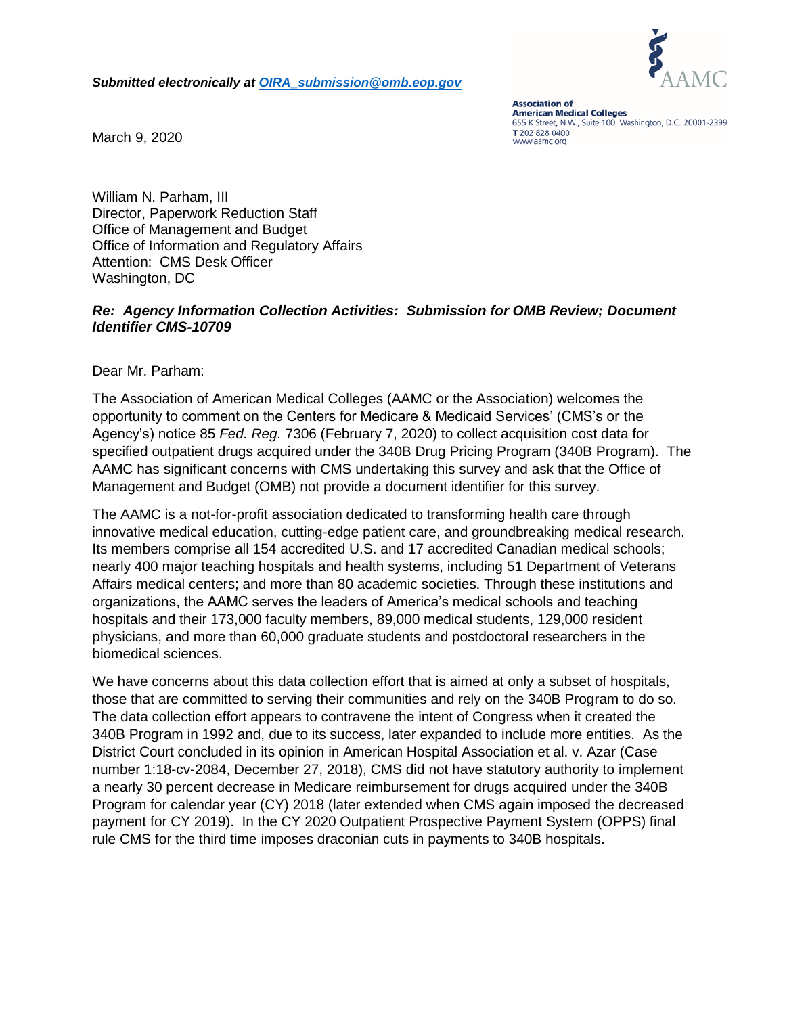*Submitted electronically at [OIRA\\_submission@omb.eop.gov](mailto:OIRA_submission@omb.eop.gov)*



**Association of American Medical Colleges** 655 K Street, N.W., Suite 100, Washington, D.C. 20001-2399 T 202 828 0400 www.aamc.org

March 9, 2020

William N. Parham, III Director, Paperwork Reduction Staff Office of Management and Budget Office of Information and Regulatory Affairs Attention: CMS Desk Officer Washington, DC

## *Re: Agency Information Collection Activities: Submission for OMB Review; Document Identifier CMS-10709*

Dear Mr. Parham:

The Association of American Medical Colleges (AAMC or the Association) welcomes the opportunity to comment on the Centers for Medicare & Medicaid Services' (CMS's or the Agency's) notice 85 *Fed. Reg.* 7306 (February 7, 2020) to collect acquisition cost data for specified outpatient drugs acquired under the 340B Drug Pricing Program (340B Program). The AAMC has significant concerns with CMS undertaking this survey and ask that the Office of Management and Budget (OMB) not provide a document identifier for this survey.

The AAMC is a not-for-profit association dedicated to transforming health care through innovative medical education, cutting-edge patient care, and groundbreaking medical research. Its members comprise all 154 accredited U.S. and 17 accredited Canadian medical schools; nearly 400 major teaching hospitals and health systems, including 51 Department of Veterans Affairs medical centers; and more than 80 academic societies. Through these institutions and organizations, the AAMC serves the leaders of America's medical schools and teaching hospitals and their 173,000 faculty members, 89,000 medical students, 129,000 resident physicians, and more than 60,000 graduate students and postdoctoral researchers in the biomedical sciences.

We have concerns about this data collection effort that is aimed at only a subset of hospitals, those that are committed to serving their communities and rely on the 340B Program to do so. The data collection effort appears to contravene the intent of Congress when it created the 340B Program in 1992 and, due to its success, later expanded to include more entities. As the District Court concluded in its opinion in American Hospital Association et al. v. Azar (Case number 1:18-cv-2084, December 27, 2018), CMS did not have statutory authority to implement a nearly 30 percent decrease in Medicare reimbursement for drugs acquired under the 340B Program for calendar year (CY) 2018 (later extended when CMS again imposed the decreased payment for CY 2019). In the CY 2020 Outpatient Prospective Payment System (OPPS) final rule CMS for the third time imposes draconian cuts in payments to 340B hospitals.